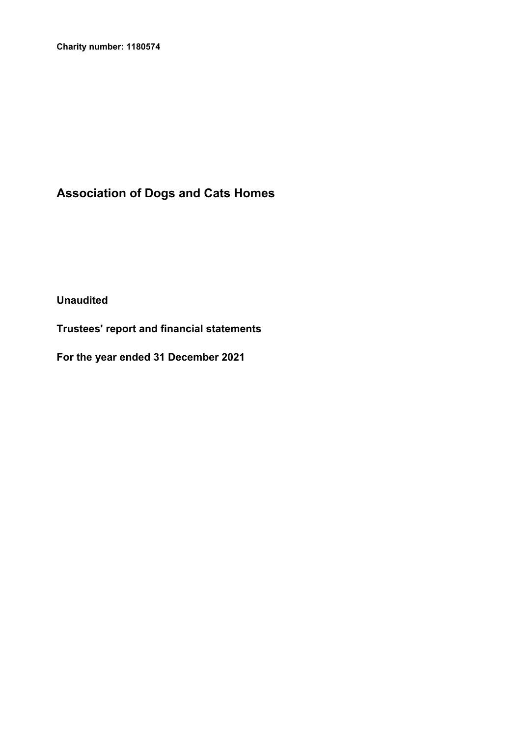**Charity number: 1180574**

# **Association of Dogs and Cats Homes**

**Unaudited**

**Trustees' report and financial statements**

**For the year ended 31 December 2021**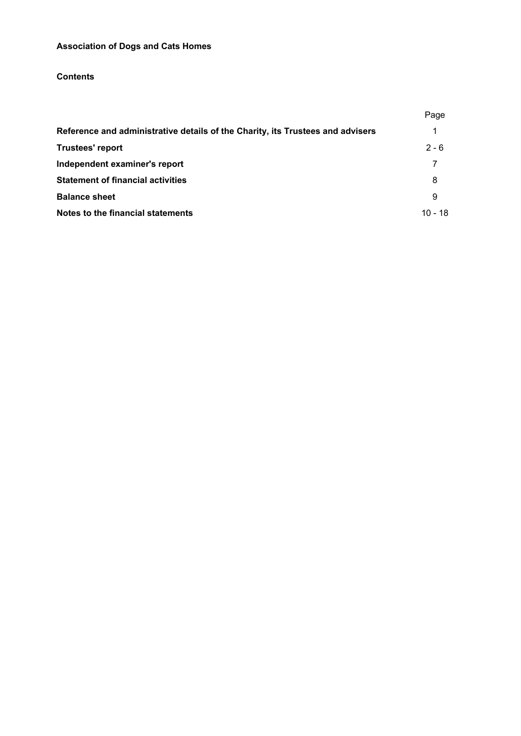## **Contents**

|                                                                                | Page    |
|--------------------------------------------------------------------------------|---------|
| Reference and administrative details of the Charity, its Trustees and advisers | 1       |
| Trustees' report                                                               | $2 - 6$ |
| Independent examiner's report                                                  | 7       |
| <b>Statement of financial activities</b>                                       | 8       |
| <b>Balance sheet</b>                                                           | 9       |
| Notes to the financial statements                                              | 10 - 18 |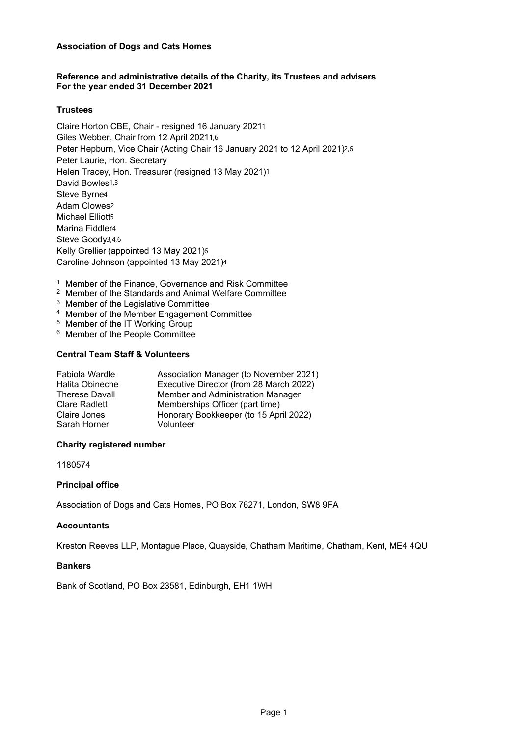## **Reference and administrative details of the Charity, its Trustees and advisers For the year ended 31 December 2021**

## **Trustees**

 Claire Horton CBE, Chair - resigned 16 January 20211 Giles Webber, Chair from 12 April 20211,6 Peter Hepburn, Vice Chair (Acting Chair 16 January 2021 to 12 April 2021)2,6 Peter Laurie, Hon. Secretary Helen Tracey, Hon. Treasurer (resigned 13 May 2021)1 David Bowles1,3 Steve Byrne4 Adam Clowes2 Michael Elliott5 Marina Fiddler4 Steve Goody3,4,6 Kelly Grellier (appointed 13 May 2021)6 Caroline Johnson (appointed 13 May 2021)4

- <sup>1</sup> Member of the Finance, Governance and Risk Committee
- <sup>2</sup> Member of the Standards and Animal Welfare Committee
- <sup>3</sup> Member of the Legislative Committee
- <sup>4</sup> Member of the Member Engagement Committee
- <sup>5</sup> Member of the IT Working Group
- <sup>6</sup> Member of the People Committee

## **Central Team Staff & Volunteers**

| Fabiola Wardle<br>Halita Obineche | Association Manager (to November 2021)<br>Executive Director (from 28 March 2022) |
|-----------------------------------|-----------------------------------------------------------------------------------|
| <b>Therese Davall</b>             | Member and Administration Manager                                                 |
| <b>Clare Radlett</b>              | Memberships Officer (part time)                                                   |
| Claire Jones                      | Honorary Bookkeeper (to 15 April 2022)                                            |
| Sarah Horner                      | Volunteer                                                                         |
|                                   |                                                                                   |

## **Charity registered number**

1180574

## **Principal office**

Association of Dogs and Cats Homes, PO Box 76271, London, SW8 9FA

#### **Accountants**

Kreston Reeves LLP, Montague Place, Quayside, Chatham Maritime, Chatham, Kent, ME4 4QU

## **Bankers**

Bank of Scotland, PO Box 23581, Edinburgh, EH1 1WH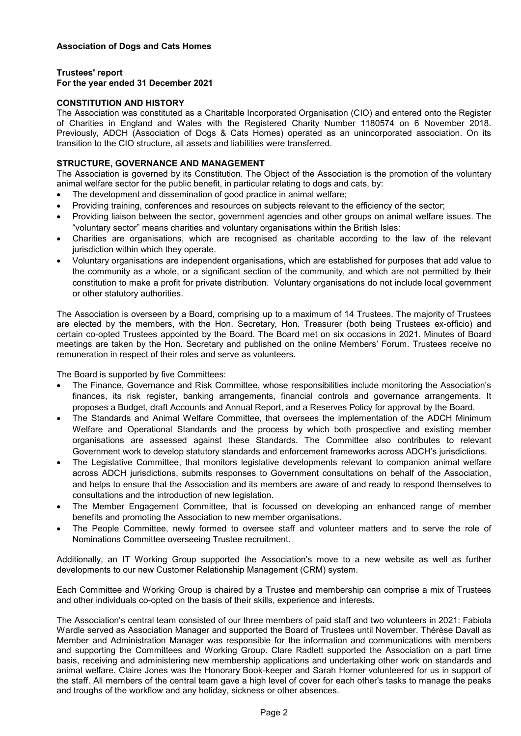## **Trustees' report**

## **For the year ended 31 December 2021**

#### **CONSTITUTION AND HISTORY**

The Association was constituted as a Charitable Incorporated Organisation (CIO) and entered onto the Register of Charities in England and Wales with the Registered Charity Number 1180574 on 6 November 2018. Previously, ADCH (Association of Dogs & Cats Homes) operated as an unincorporated association. On its transition to the CIO structure, all assets and liabilities were transferred.

## **STRUCTURE, GOVERNANCE AND MANAGEMENT**

The Association is governed by its Constitution. The Object of the Association is the promotion of the voluntary animal welfare sector for the public benefit, in particular relating to dogs and cats, by:

- The development and dissemination of good practice in animal welfare;
- Providing training, conferences and resources on subjects relevant to the efficiency of the sector;
- Providing liaison between the sector, government agencies and other groups on animal welfare issues. The "voluntary sector" means charities and voluntary organisations within the British Isles:
- Charities are organisations, which are recognised as charitable according to the law of the relevant jurisdiction within which they operate.
- Voluntary organisations are independent organisations, which are established for purposes that add value to the community as a whole, or a significant section of the community, and which are not permitted by their constitution to make a profit for private distribution. Voluntary organisations do not include local government or other statutory authorities.

The Association is overseen by a Board, comprising up to a maximum of 14 Trustees. The majority of Trustees are elected by the members, with the Hon. Secretary, Hon. Treasurer (both being Trustees ex-officio) and certain co-opted Trustees appointed by the Board. The Board met on six occasions in 2021. Minutes of Board meetings are taken by the Hon. Secretary and published on the online Members' Forum. Trustees receive no remuneration in respect of their roles and serve as volunteers.

The Board is supported by five Committees:

- The Finance, Governance and Risk Committee, whose responsibilities include monitoring the Association's finances, its risk register, banking arrangements, financial controls and governance arrangements. It proposes a Budget, draft Accounts and Annual Report, and a Reserves Policy for approval by the Board.
- The Standards and Animal Welfare Committee, that oversees the implementation of the ADCH Minimum Welfare and Operational Standards and the process by which both prospective and existing member organisations are assessed against these Standards. The Committee also contributes to relevant Government work to develop statutory standards and enforcement frameworks across ADCH's jurisdictions.
- The Legislative Committee, that monitors legislative developments relevant to companion animal welfare across ADCH jurisdictions, submits responses to Government consultations on behalf of the Association, and helps to ensure that the Association and its members are aware of and ready to respond themselves to consultations and the introduction of new legislation.
- The Member Engagement Committee, that is focussed on developing an enhanced range of member benefits and promoting the Association to new member organisations.
- The People Committee, newly formed to oversee staff and volunteer matters and to serve the role of Nominations Committee overseeing Trustee recruitment.

Additionally, an IT Working Group supported the Association's move to a new website as well as further developments to our new Customer Relationship Management (CRM) system.

Each Committee and Working Group is chaired by a Trustee and membership can comprise a mix of Trustees and other individuals co-opted on the basis of their skills, experience and interests.

The Association's central team consisted of our three members of paid staff and two volunteers in 2021: Fabiola Wardle served as Association Manager and supported the Board of Trustees until November. Thérèse Davall as Member and Administration Manager was responsible for the information and communications with members and supporting the Committees and Working Group. Clare Radlett supported the Association on a part time basis, receiving and administering new membership applications and undertaking other work on standards and animal welfare. Claire Jones was the Honorary Book-keeper and Sarah Horner volunteered for us in support of the staff. All members of the central team gave a high level of cover for each other's tasks to manage the peaks and troughs of the workflow and any holiday, sickness or other absences.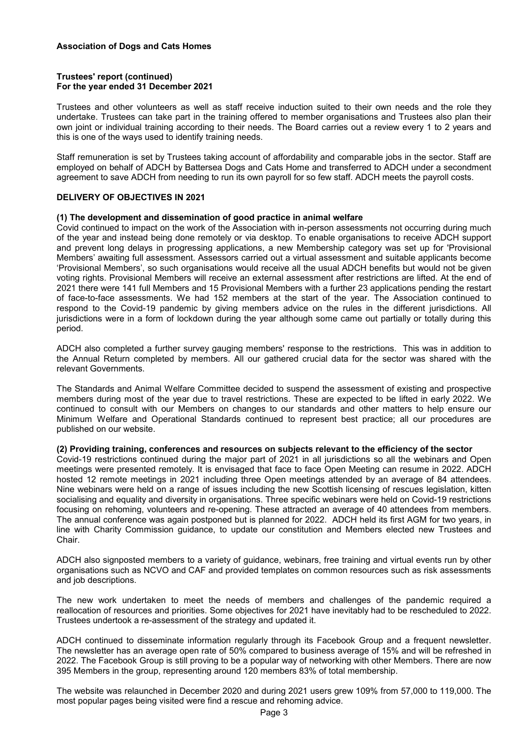#### **Trustees' report (continued) For the year ended 31 December 2021**

Trustees and other volunteers as well as staff receive induction suited to their own needs and the role they undertake. Trustees can take part in the training offered to member organisations and Trustees also plan their own joint or individual training according to their needs. The Board carries out a review every 1 to 2 years and this is one of the ways used to identify training needs.

Staff remuneration is set by Trustees taking account of affordability and comparable jobs in the sector. Staff are employed on behalf of ADCH by Battersea Dogs and Cats Home and transferred to ADCH under a secondment agreement to save ADCH from needing to run its own payroll for so few staff. ADCH meets the payroll costs.

## **DELIVERY OF OBJECTIVES IN 2021**

#### **(1) The development and dissemination of good practice in animal welfare**

Covid continued to impact on the work of the Association with in-person assessments not occurring during much of the year and instead being done remotely or via desktop. To enable organisations to receive ADCH support and prevent long delays in progressing applications, a new Membership category was set up for 'Provisional Members' awaiting full assessment. Assessors carried out a virtual assessment and suitable applicants become 'Provisional Members', so such organisations would receive all the usual ADCH benefits but would not be given voting rights. Provisional Members will receive an external assessment after restrictions are lifted. At the end of 2021 there were 141 full Members and 15 Provisional Members with a further 23 applications pending the restart of face-to-face assessments. We had 152 members at the start of the year. The Association continued to respond to the Covid-19 pandemic by giving members advice on the rules in the different jurisdictions. All jurisdictions were in a form of lockdown during the year although some came out partially or totally during this period.

ADCH also completed a further survey gauging members' response to the restrictions. This was in addition to the Annual Return completed by members. All our gathered crucial data for the sector was shared with the relevant Governments.

The Standards and Animal Welfare Committee decided to suspend the assessment of existing and prospective members during most of the year due to travel restrictions. These are expected to be lifted in early 2022. We continued to consult with our Members on changes to our standards and other matters to help ensure our Minimum Welfare and Operational Standards continued to represent best practice; all our procedures are published on our website.

#### **(2) Providing training, conferences and resources on subjects relevant to the efficiency of the sector**

Covid-19 restrictions continued during the major part of 2021 in all jurisdictions so all the webinars and Open meetings were presented remotely. It is envisaged that face to face Open Meeting can resume in 2022. ADCH hosted 12 remote meetings in 2021 including three Open meetings attended by an average of 84 attendees. Nine webinars were held on a range of issues including the new Scottish licensing of rescues legislation, kitten socialising and equality and diversity in organisations. Three specific webinars were held on Covid-19 restrictions focusing on rehoming, volunteers and re-opening. These attracted an average of 40 attendees from members. The annual conference was again postponed but is planned for 2022. ADCH held its first AGM for two years, in line with Charity Commission guidance, to update our constitution and Members elected new Trustees and Chair.

ADCH also signposted members to a variety of guidance, webinars, free training and virtual events run by other organisations such as NCVO and CAF and provided templates on common resources such as risk assessments and job descriptions.

The new work undertaken to meet the needs of members and challenges of the pandemic required a reallocation of resources and priorities. Some objectives for 2021 have inevitably had to be rescheduled to 2022. Trustees undertook a re-assessment of the strategy and updated it.

ADCH continued to disseminate information regularly through its Facebook Group and a frequent newsletter. The newsletter has an average open rate of 50% compared to business average of 15% and will be refreshed in 2022. The Facebook Group is still proving to be a popular way of networking with other Members. There are now 395 Members in the group, representing around 120 members 83% of total membership.

The website was relaunched in December 2020 and during 2021 users grew 109% from 57,000 to 119,000. The most popular pages being visited were find a rescue and rehoming advice.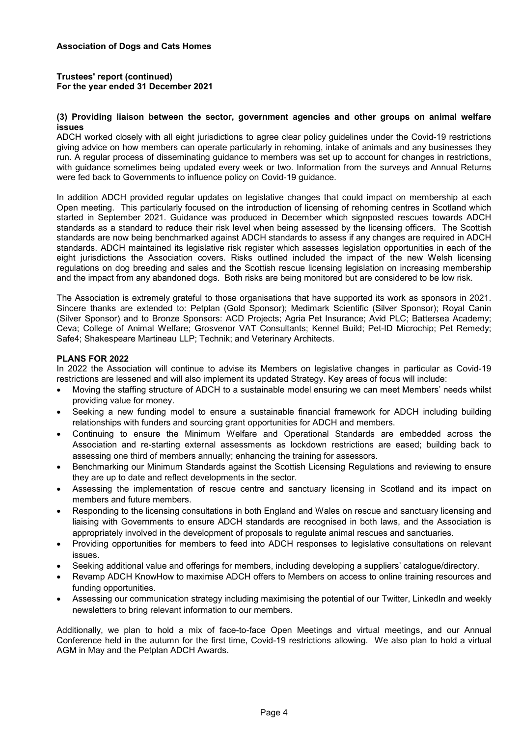## **Trustees' report (continued) For the year ended 31 December 2021**

#### **(3) Providing liaison between the sector, government agencies and other groups on animal welfare issues**

ADCH worked closely with all eight jurisdictions to agree clear policy guidelines under the Covid-19 restrictions giving advice on how members can operate particularly in rehoming, intake of animals and any businesses they run. A regular process of disseminating guidance to members was set up to account for changes in restrictions, with guidance sometimes being updated every week or two. Information from the surveys and Annual Returns were fed back to Governments to influence policy on Covid-19 guidance.

In addition ADCH provided regular updates on legislative changes that could impact on membership at each Open meeting. This particularly focused on the introduction of licensing of rehoming centres in Scotland which started in September 2021. Guidance was produced in December which signposted rescues towards ADCH standards as a standard to reduce their risk level when being assessed by the licensing officers. The Scottish standards are now being benchmarked against ADCH standards to assess if any changes are required in ADCH standards. ADCH maintained its legislative risk register which assesses legislation opportunities in each of the eight jurisdictions the Association covers. Risks outlined included the impact of the new Welsh licensing regulations on dog breeding and sales and the Scottish rescue licensing legislation on increasing membership and the impact from any abandoned dogs. Both risks are being monitored but are considered to be low risk.

The Association is extremely grateful to those organisations that have supported its work as sponsors in 2021. Sincere thanks are extended to: Petplan (Gold Sponsor); Medimark Scientific (Silver Sponsor); Royal Canin (Silver Sponsor) and to Bronze Sponsors: ACD Projects; Agria Pet Insurance; Avid PLC; Battersea Academy; Ceva; College of Animal Welfare; Grosvenor VAT Consultants; Kennel Build; Pet-ID Microchip; Pet Remedy; Safe4; Shakespeare Martineau LLP; Technik; and Veterinary Architects.

#### **PLANS FOR 2022**

In 2022 the Association will continue to advise its Members on legislative changes in particular as Covid-19 restrictions are lessened and will also implement its updated Strategy. Key areas of focus will include:

- Moving the staffing structure of ADCH to a sustainable model ensuring we can meet Members' needs whilst providing value for money.
- Seeking a new funding model to ensure a sustainable financial framework for ADCH including building relationships with funders and sourcing grant opportunities for ADCH and members.
- Continuing to ensure the Minimum Welfare and Operational Standards are embedded across the Association and re-starting external assessments as lockdown restrictions are eased; building back to assessing one third of members annually; enhancing the training for assessors.
- Benchmarking our Minimum Standards against the Scottish Licensing Regulations and reviewing to ensure they are up to date and reflect developments in the sector.
- Assessing the implementation of rescue centre and sanctuary licensing in Scotland and its impact on members and future members.
- Responding to the licensing consultations in both England and Wales on rescue and sanctuary licensing and liaising with Governments to ensure ADCH standards are recognised in both laws, and the Association is appropriately involved in the development of proposals to regulate animal rescues and sanctuaries.
- Providing opportunities for members to feed into ADCH responses to legislative consultations on relevant issues.
- Seeking additional value and offerings for members, including developing a suppliers' catalogue/directory.
- Revamp ADCH KnowHow to maximise ADCH offers to Members on access to online training resources and funding opportunities.
- Assessing our communication strategy including maximising the potential of our Twitter, LinkedIn and weekly newsletters to bring relevant information to our members.

Additionally, we plan to hold a mix of face-to-face Open Meetings and virtual meetings, and our Annual Conference held in the autumn for the first time, Covid-19 restrictions allowing. We also plan to hold a virtual AGM in May and the Petplan ADCH Awards.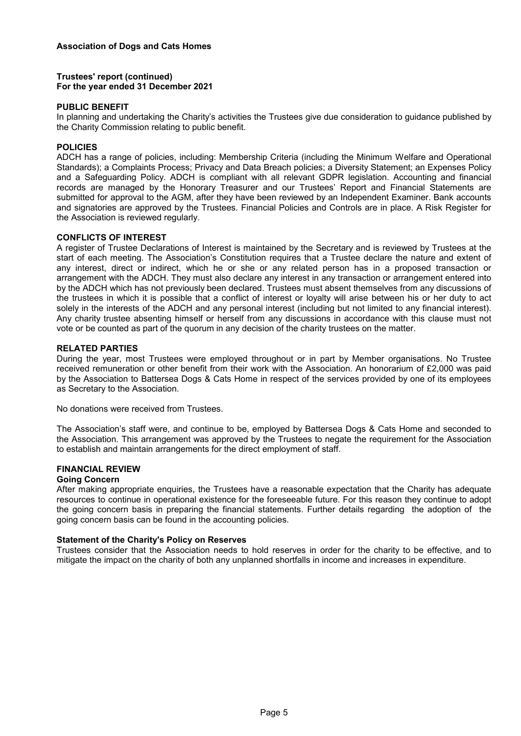## **Trustees' report (continued) For the year ended 31 December 2021**

#### **PUBLIC BENEFIT**

In planning and undertaking the Charity's activities the Trustees give due consideration to guidance published by the Charity Commission relating to public benefit.

## **POLICIES**

ADCH has a range of policies, including: Membership Criteria (including the Minimum Welfare and Operational Standards); a Complaints Process; Privacy and Data Breach policies; a Diversity Statement; an Expenses Policy and a Safeguarding Policy. ADCH is compliant with all relevant GDPR legislation. Accounting and financial records are managed by the Honorary Treasurer and our Trustees' Report and Financial Statements are submitted for approval to the AGM, after they have been reviewed by an Independent Examiner. Bank accounts and signatories are approved by the Trustees. Financial Policies and Controls are in place. A Risk Register for the Association is reviewed regularly.

#### **CONFLICTS OF INTEREST**

A register of Trustee Declarations of Interest is maintained by the Secretary and is reviewed by Trustees at the start of each meeting. The Association's Constitution requires that a Trustee declare the nature and extent of any interest, direct or indirect, which he or she or any related person has in a proposed transaction or arrangement with the ADCH. They must also declare any interest in any transaction or arrangement entered into by the ADCH which has not previously been declared. Trustees must absent themselves from any discussions of the trustees in which it is possible that a conflict of interest or loyalty will arise between his or her duty to act solely in the interests of the ADCH and any personal interest (including but not limited to any financial interest). Any charity trustee absenting himself or herself from any discussions in accordance with this clause must not vote or be counted as part of the quorum in any decision of the charity trustees on the matter.

#### **RELATED PARTIES**

During the year, most Trustees were employed throughout or in part by Member organisations. No Trustee received remuneration or other benefit from their work with the Association. An honorarium of £2,000 was paid by the Association to Battersea Dogs & Cats Home in respect of the services provided by one of its employees as Secretary to the Association.

No donations were received from Trustees.

The Association's staff were, and continue to be, employed by Battersea Dogs & Cats Home and seconded to the Association. This arrangement was approved by the Trustees to negate the requirement for the Association to establish and maintain arrangements for the direct employment of staff.

#### **FINANCIAL REVIEW**

#### **Going Concern**

After making appropriate enquiries, the Trustees have a reasonable expectation that the Charity has adequate resources to continue in operational existence for the foreseeable future. For this reason they continue to adopt the going concern basis in preparing the financial statements. Further details regarding the adoption of the going concern basis can be found in the accounting policies.

#### **Statement of the Charity's Policy on Reserves**

Trustees consider that the Association needs to hold reserves in order for the charity to be effective, and to mitigate the impact on the charity of both any unplanned shortfalls in income and increases in expenditure.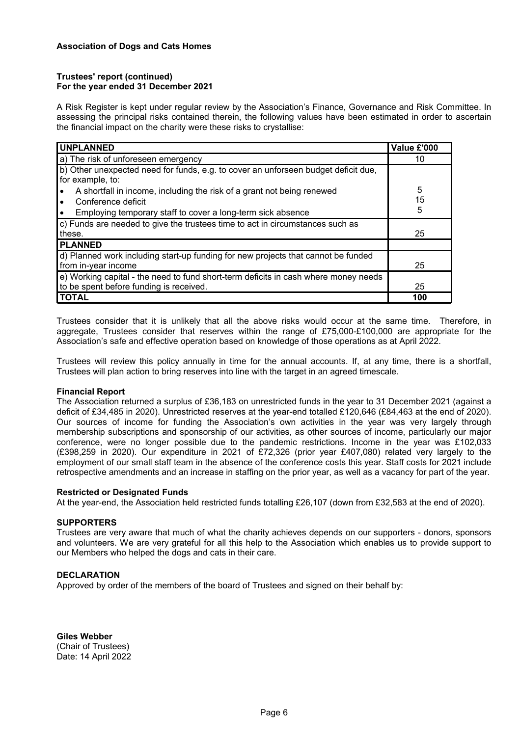#### **Trustees' report (continued) For the year ended 31 December 2021**

A Risk Register is kept under regular review by the Association's Finance, Governance and Risk Committee. In assessing the principal risks contained therein, the following values have been estimated in order to ascertain the financial impact on the charity were these risks to crystallise:

| <b>UNPLANNED</b>                                                                                                                                                         | Value £'000  |
|--------------------------------------------------------------------------------------------------------------------------------------------------------------------------|--------------|
| a) The risk of unforeseen emergency                                                                                                                                      | 10           |
| b) Other unexpected need for funds, e.g. to cover an unforseen budget deficit due,<br>for example, to:                                                                   |              |
| A shortfall in income, including the risk of a grant not being renewed<br>Conference deficit<br>Employing temporary staff to cover a long-term sick absence<br>$\bullet$ | 5<br>15<br>5 |
| c) Funds are needed to give the trustees time to act in circumstances such as<br>these.                                                                                  | 25           |
| <b>PLANNED</b>                                                                                                                                                           |              |
| d) Planned work including start-up funding for new projects that cannot be funded<br>from in-year income                                                                 | 25           |
| $\ket{e}$ Working capital - the need to fund short-term deficits in cash where money needs<br>to be spent before funding is received.                                    | 25           |
| <b>TOTAL</b>                                                                                                                                                             | 100          |

Trustees consider that it is unlikely that all the above risks would occur at the same time. Therefore, in aggregate, Trustees consider that reserves within the range of £75,000-£100,000 are appropriate for the Association's safe and effective operation based on knowledge of those operations as at April 2022.

Trustees will review this policy annually in time for the annual accounts. If, at any time, there is a shortfall, Trustees will plan action to bring reserves into line with the target in an agreed timescale.

#### **Financial Report**

The Association returned a surplus of £36,183 on unrestricted funds in the year to 31 December 2021 (against a deficit of £34,485 in 2020). Unrestricted reserves at the year-end totalled £120,646 (£84,463 at the end of 2020). Our sources of income for funding the Association's own activities in the year was very largely through membership subscriptions and sponsorship of our activities, as other sources of income, particularly our major conference, were no longer possible due to the pandemic restrictions. Income in the year was £102,033 (£398,259 in 2020). Our expenditure in 2021 of £72,326 (prior year £407,080) related very largely to the employment of our small staff team in the absence of the conference costs this year. Staff costs for 2021 include retrospective amendments and an increase in staffing on the prior year, as well as a vacancy for part of the year.

#### **Restricted or Designated Funds**

At the year-end, the Association held restricted funds totalling £26,107 (down from £32,583 at the end of 2020).

#### **SUPPORTERS**

Trustees are very aware that much of what the charity achieves depends on our supporters - donors, sponsors and volunteers. We are very grateful for all this help to the Association which enables us to provide support to our Members who helped the dogs and cats in their care.

#### **DECLARATION**

Approved by order of the members of the board of Trustees and signed on their behalf by:

**Giles Webber** (Chair of Trustees) Date: 14 April 2022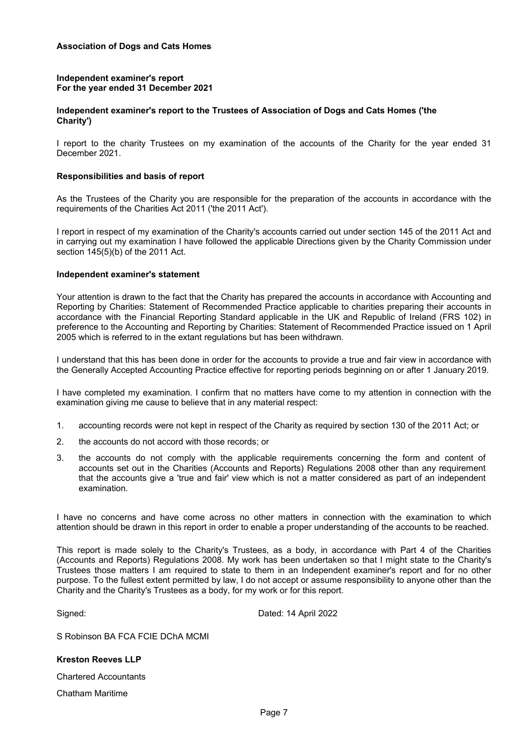#### **Independent examiner's report For the year ended 31 December 2021**

#### **Independent examiner's report to the Trustees of Association of Dogs and Cats Homes ('the Charity')**

I report to the charity Trustees on my examination of the accounts of the Charity for the year ended 31 December 2021.

#### **Responsibilities and basis of report**

As the Trustees of the Charity you are responsible for the preparation of the accounts in accordance with the requirements of the Charities Act 2011 ('the 2011 Act').

I report in respect of my examination of the Charity's accounts carried out under section 145 of the 2011 Act and in carrying out my examination I have followed the applicable Directions given by the Charity Commission under section 145(5)(b) of the 2011 Act.

#### **Independent examiner's statement**

Your attention is drawn to the fact that the Charity has prepared the accounts in accordance with Accounting and Reporting by Charities: Statement of Recommended Practice applicable to charities preparing their accounts in accordance with the Financial Reporting Standard applicable in the UK and Republic of Ireland (FRS 102) in preference to the Accounting and Reporting by Charities: Statement of Recommended Practice issued on 1 April 2005 which is referred to in the extant regulations but has been withdrawn.

I understand that this has been done in order for the accounts to provide a true and fair view in accordance with the Generally Accepted Accounting Practice effective for reporting periods beginning on or after 1 January 2019.

I have completed my examination. I confirm that no matters have come to my attention in connection with the examination giving me cause to believe that in any material respect:

- 1. accounting records were not kept in respect of the Charity as required by section 130 of the 2011 Act; or
- 2. the accounts do not accord with those records; or
- 3. the accounts do not comply with the applicable requirements concerning the form and content of accounts set out in the Charities (Accounts and Reports) Regulations 2008 other than any requirement that the accounts give a 'true and fair' view which is not a matter considered as part of an independent examination.

I have no concerns and have come across no other matters in connection with the examination to which attention should be drawn in this report in order to enable a proper understanding of the accounts to be reached.

This report is made solely to the Charity's Trustees, as a body, in accordance with Part 4 of the Charities (Accounts and Reports) Regulations 2008. My work has been undertaken so that I might state to the Charity's Trustees those matters I am required to state to them in an Independent examiner's report and for no other purpose. To the fullest extent permitted by law, I do not accept or assume responsibility to anyone other than the Charity and the Charity's Trustees as a body, for my work or for this report.

Signed: Dated: 14 April 2022

S Robinson BA FCA FCIE DChA MCMI

#### **Kreston Reeves LLP**

Chartered Accountants

Chatham Maritime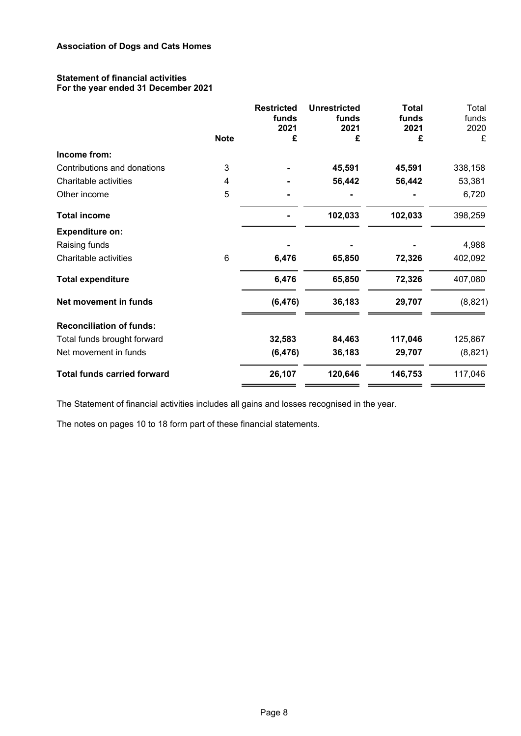#### **Statement of financial activities For the year ended 31 December 2021**

|                                    | <b>Note</b> | <b>Restricted</b><br>funds<br>2021<br>£ | <b>Unrestricted</b><br>funds<br>2021<br>£ | <b>Total</b><br>funds<br>2021<br>£ | Total<br>funds<br>2020<br>£ |
|------------------------------------|-------------|-----------------------------------------|-------------------------------------------|------------------------------------|-----------------------------|
| Income from:                       |             |                                         |                                           |                                    |                             |
| Contributions and donations        | 3           |                                         | 45,591                                    | 45,591                             | 338,158                     |
| Charitable activities              | 4           |                                         | 56,442                                    | 56,442                             | 53,381                      |
| Other income                       | 5           |                                         |                                           |                                    | 6,720                       |
| <b>Total income</b>                |             |                                         | 102,033                                   | 102,033                            | 398,259                     |
| <b>Expenditure on:</b>             |             |                                         |                                           |                                    |                             |
| Raising funds                      |             |                                         |                                           |                                    | 4,988                       |
| Charitable activities              | 6           | 6,476                                   | 65,850                                    | 72,326                             | 402,092                     |
| <b>Total expenditure</b>           |             | 6,476                                   | 65,850                                    | 72,326                             | 407,080                     |
| Net movement in funds              |             | (6, 476)                                | 36,183                                    | 29,707                             | (8,821)                     |
| <b>Reconciliation of funds:</b>    |             |                                         |                                           |                                    |                             |
| Total funds brought forward        |             | 32,583                                  | 84,463                                    | 117,046                            | 125,867                     |
| Net movement in funds              |             | (6, 476)                                | 36,183                                    | 29,707                             | (8,821)                     |
| <b>Total funds carried forward</b> |             | 26,107                                  | 120,646                                   | 146,753                            | 117,046                     |

The Statement of financial activities includes all gains and losses recognised in the year.

The notes on pages 10 to 18 form part of these financial statements.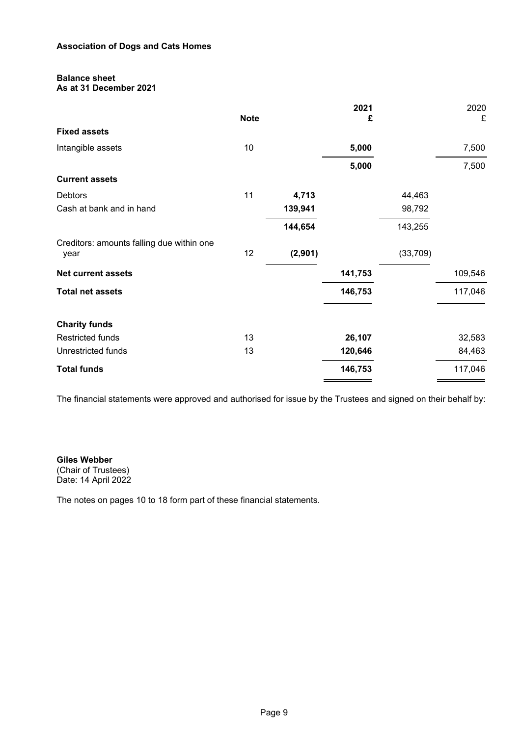## **Balance sheet**

**As at 31 December 2021**

|    |             | 2021    |           | 2020    |
|----|-------------|---------|-----------|---------|
|    |             | £       |           | £       |
|    |             |         |           |         |
| 10 |             | 5,000   |           | 7,500   |
|    |             | 5,000   |           | 7,500   |
|    |             |         |           |         |
| 11 | 4,713       |         | 44,463    |         |
|    | 139,941     |         | 98,792    |         |
|    | 144,654     |         | 143,255   |         |
| 12 | (2,901)     |         | (33, 709) |         |
|    |             | 141,753 |           | 109,546 |
|    |             | 146,753 |           | 117,046 |
|    |             |         |           |         |
|    |             |         |           |         |
| 13 |             | 26,107  |           | 32,583  |
| 13 |             | 120,646 |           | 84,463  |
|    |             | 146,753 |           | 117,046 |
|    | <b>Note</b> |         |           |         |

The financial statements were approved and authorised for issue by the Trustees and signed on their behalf by:

#### **Giles Webber** (Chair of Trustees) Date: 14 April 2022

The notes on pages 10 to 18 form part of these financial statements.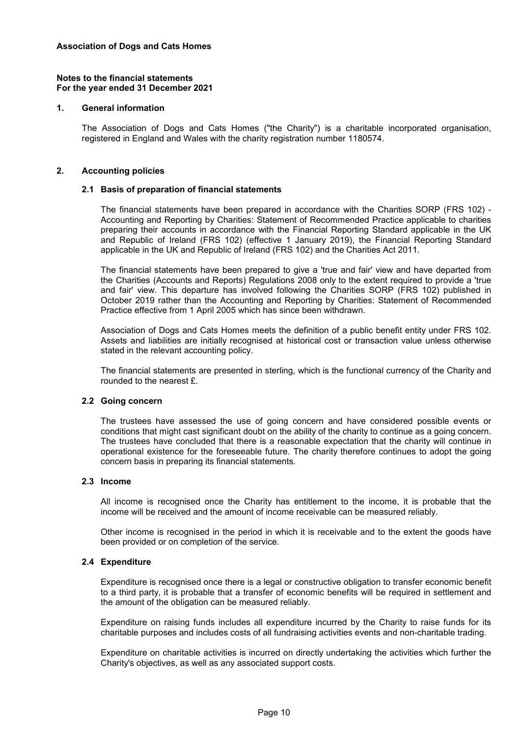#### **1. General information**

The Association of Dogs and Cats Homes ("the Charity") is a charitable incorporated organisation, registered in England and Wales with the charity registration number 1180574.

#### **2. Accounting policies**

#### **2.1 Basis of preparation of financial statements**

The financial statements have been prepared in accordance with the Charities SORP (FRS 102) - Accounting and Reporting by Charities: Statement of Recommended Practice applicable to charities preparing their accounts in accordance with the Financial Reporting Standard applicable in the UK and Republic of Ireland (FRS 102) (effective 1 January 2019), the Financial Reporting Standard applicable in the UK and Republic of Ireland (FRS 102) and the Charities Act 2011.

The financial statements have been prepared to give a 'true and fair' view and have departed from the Charities (Accounts and Reports) Regulations 2008 only to the extent required to provide a 'true and fair' view. This departure has involved following the Charities SORP (FRS 102) published in October 2019 rather than the Accounting and Reporting by Charities: Statement of Recommended Practice effective from 1 April 2005 which has since been withdrawn.

Association of Dogs and Cats Homes meets the definition of a public benefit entity under FRS 102. Assets and liabilities are initially recognised at historical cost or transaction value unless otherwise stated in the relevant accounting policy.

The financial statements are presented in sterling, which is the functional currency of the Charity and rounded to the nearest £.

#### **2.2 Going concern**

The trustees have assessed the use of going concern and have considered possible events or conditions that might cast significant doubt on the ability of the charity to continue as a going concern. The trustees have concluded that there is a reasonable expectation that the charity will continue in operational existence for the foreseeable future. The charity therefore continues to adopt the going concern basis in preparing its financial statements.

#### **2.3 Income**

All income is recognised once the Charity has entitlement to the income, it is probable that the income will be received and the amount of income receivable can be measured reliably.

Other income is recognised in the period in which it is receivable and to the extent the goods have been provided or on completion of the service.

#### **2.4 Expenditure**

Expenditure is recognised once there is a legal or constructive obligation to transfer economic benefit to a third party, it is probable that a transfer of economic benefits will be required in settlement and the amount of the obligation can be measured reliably.

Expenditure on raising funds includes all expenditure incurred by the Charity to raise funds for its charitable purposes and includes costs of all fundraising activities events and non-charitable trading.

Expenditure on charitable activities is incurred on directly undertaking the activities which further the Charity's objectives, as well as any associated support costs.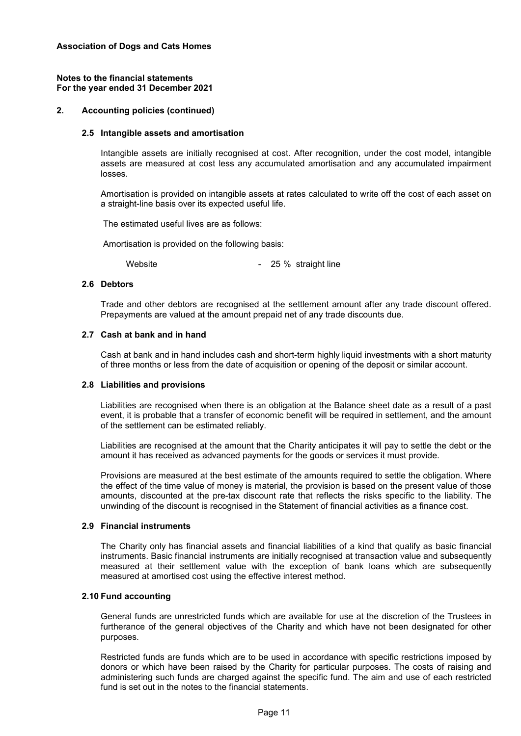## **2. Accounting policies (continued)**

#### **2.5 Intangible assets and amortisation**

Intangible assets are initially recognised at cost. After recognition, under the cost model, intangible assets are measured at cost less any accumulated amortisation and any accumulated impairment losses.

Amortisation is provided on intangible assets at rates calculated to write off the cost of each asset on a straight-line basis over its expected useful life.

The estimated useful lives are as follows:

Amortisation is provided on the following basis:

Website **- 25 %** straight line

#### **2.6 Debtors**

Trade and other debtors are recognised at the settlement amount after any trade discount offered. Prepayments are valued at the amount prepaid net of any trade discounts due.

#### **2.7 Cash at bank and in hand**

Cash at bank and in hand includes cash and short-term highly liquid investments with a short maturity of three months or less from the date of acquisition or opening of the deposit or similar account.

#### **2.8 Liabilities and provisions**

Liabilities are recognised when there is an obligation at the Balance sheet date as a result of a past event, it is probable that a transfer of economic benefit will be required in settlement, and the amount of the settlement can be estimated reliably.

Liabilities are recognised at the amount that the Charity anticipates it will pay to settle the debt or the amount it has received as advanced payments for the goods or services it must provide.

Provisions are measured at the best estimate of the amounts required to settle the obligation. Where the effect of the time value of money is material, the provision is based on the present value of those amounts, discounted at the pre-tax discount rate that reflects the risks specific to the liability. The unwinding of the discount is recognised in the Statement of financial activities as a finance cost.

#### **2.9 Financial instruments**

The Charity only has financial assets and financial liabilities of a kind that qualify as basic financial instruments. Basic financial instruments are initially recognised at transaction value and subsequently measured at their settlement value with the exception of bank loans which are subsequently measured at amortised cost using the effective interest method.

## **2.10 Fund accounting**

General funds are unrestricted funds which are available for use at the discretion of the Trustees in furtherance of the general objectives of the Charity and which have not been designated for other purposes.

Restricted funds are funds which are to be used in accordance with specific restrictions imposed by donors or which have been raised by the Charity for particular purposes. The costs of raising and administering such funds are charged against the specific fund. The aim and use of each restricted fund is set out in the notes to the financial statements.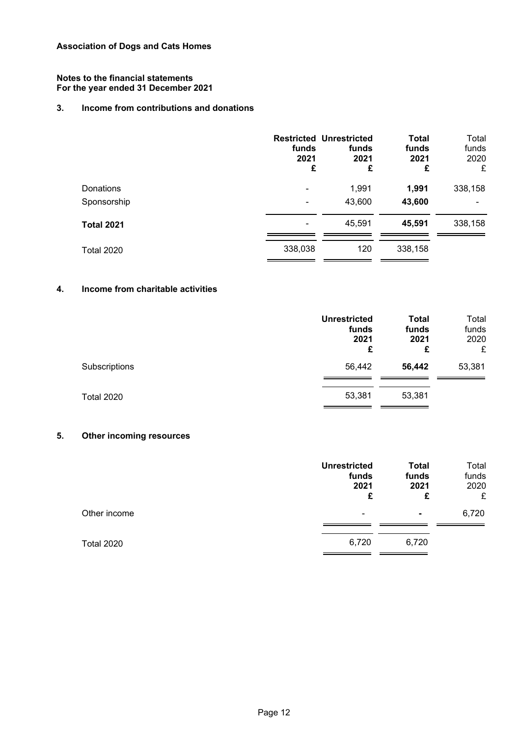## **3. Income from contributions and donations**

|                   | funds<br>2021<br>£ | <b>Restricted Unrestricted</b><br>funds<br>2021<br>£ | <b>Total</b><br>funds<br>2021<br>£ | Total<br>funds<br>2020<br>£ |
|-------------------|--------------------|------------------------------------------------------|------------------------------------|-----------------------------|
| Donations         | $\blacksquare$     | 1,991                                                | 1,991                              | 338,158                     |
| Sponsorship       |                    | 43,600                                               | 43,600                             |                             |
| <b>Total 2021</b> |                    | 45,591                                               | 45,591                             | 338,158                     |
| <b>Total 2020</b> | 338,038            | 120                                                  | 338,158                            |                             |

## **4. Income from charitable activities**

|                   | <b>Unrestricted</b><br>funds<br>2021<br>£ | <b>Total</b><br>funds<br>2021<br>£ | Total<br>funds<br>2020<br>£ |
|-------------------|-------------------------------------------|------------------------------------|-----------------------------|
| Subscriptions     | 56,442                                    | 56,442                             | 53,381                      |
| <b>Total 2020</b> | 53,381                                    | 53,381                             |                             |

## **5. Other incoming resources**

|                   | <b>Unrestricted</b><br>funds<br>2021<br>£ | <b>Total</b><br>funds<br>2021<br>£ | Total<br>funds<br>2020<br>£ |
|-------------------|-------------------------------------------|------------------------------------|-----------------------------|
| Other income      | ۰                                         | $\blacksquare$                     | 6,720                       |
| <b>Total 2020</b> | 6,720                                     | 6,720                              |                             |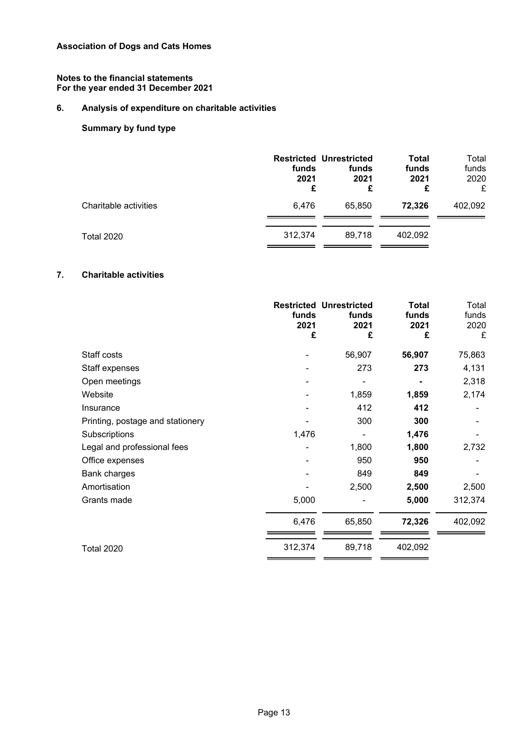## **6. Analysis of expenditure on charitable activities**

## **Summary by fund type**

|                       | funds<br>2021<br>£ | <b>Restricted Unrestricted</b><br>funds<br>2021<br>£ | Total<br>funds<br>2021<br>£ | Total<br>funds<br>2020<br>£ |
|-----------------------|--------------------|------------------------------------------------------|-----------------------------|-----------------------------|
| Charitable activities | 6,476              | 65,850                                               | 72,326                      | 402,092                     |
| <b>Total 2020</b>     | 312.374            | 89.718                                               | 402,092                     |                             |

## **7. Charitable activities**

|                                  | funds<br>2021<br>£ | <b>Restricted Unrestricted</b><br>funds<br>2021<br>£ | <b>Total</b><br>funds<br>2021<br>£ | Total<br>funds<br>2020<br>£ |
|----------------------------------|--------------------|------------------------------------------------------|------------------------------------|-----------------------------|
| Staff costs                      |                    | 56,907                                               | 56,907                             | 75,863                      |
| Staff expenses                   |                    | 273                                                  | 273                                | 4,131                       |
| Open meetings                    |                    |                                                      |                                    | 2,318                       |
| Website                          |                    | 1,859                                                | 1,859                              | 2,174                       |
| Insurance                        |                    | 412                                                  | 412                                |                             |
| Printing, postage and stationery |                    | 300                                                  | 300                                |                             |
| Subscriptions                    | 1,476              |                                                      | 1,476                              |                             |
| Legal and professional fees      |                    | 1,800                                                | 1,800                              | 2,732                       |
| Office expenses                  |                    | 950                                                  | 950                                |                             |
| Bank charges                     |                    | 849                                                  | 849                                |                             |
| Amortisation                     |                    | 2,500                                                | 2,500                              | 2,500                       |
| Grants made                      | 5,000              |                                                      | 5,000                              | 312,374                     |
|                                  | 6,476              | 65,850                                               | 72,326                             | 402,092                     |
| <b>Total 2020</b>                | 312,374            | 89,718                                               | 402,092                            |                             |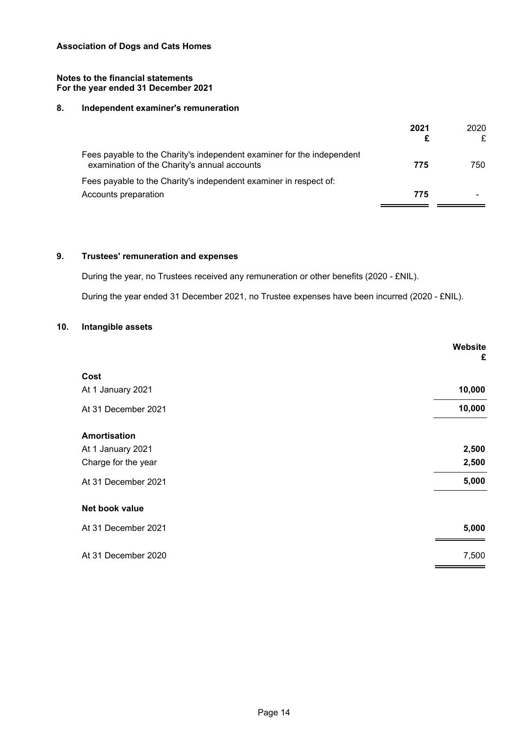#### **Notes to the financial statements For the year ended 31 December 2021**

## **8. Independent examiner's remuneration**

|                                                                                                                        | 2021 | 2020<br>£ |
|------------------------------------------------------------------------------------------------------------------------|------|-----------|
| Fees payable to the Charity's independent examiner for the independent<br>examination of the Charity's annual accounts | 775  | 750.      |
| Fees payable to the Charity's independent examiner in respect of:                                                      |      |           |
| Accounts preparation                                                                                                   | 775  |           |
|                                                                                                                        |      |           |

## **9. Trustees' remuneration and expenses**

During the year, no Trustees received any remuneration or other benefits (2020 - £NIL). During the year ended 31 December 2021, no Trustee expenses have been incurred (2020 - £NIL).

## **10. Intangible assets**

|                     | Website<br>£ |
|---------------------|--------------|
| Cost                |              |
| At 1 January 2021   | 10,000       |
| At 31 December 2021 | 10,000       |
| Amortisation        |              |
| At 1 January 2021   | 2,500        |
| Charge for the year | 2,500        |
| At 31 December 2021 | 5,000        |
| Net book value      |              |
| At 31 December 2021 | 5,000        |
| At 31 December 2020 | 7,500        |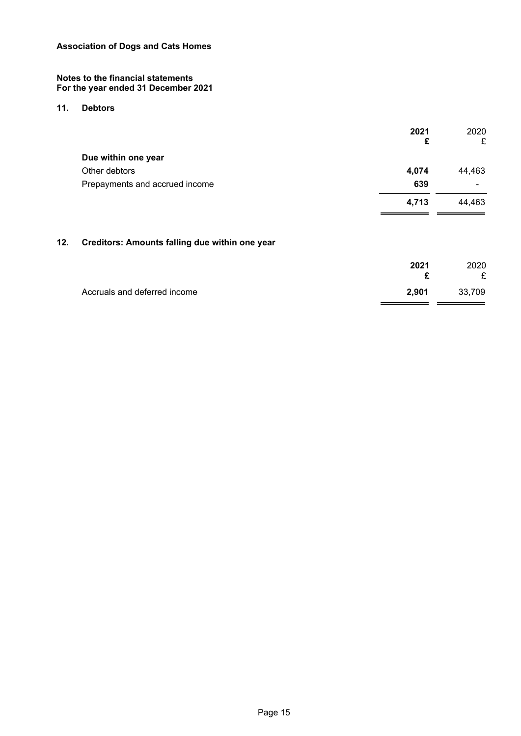#### **11. Debtors**

|     |                                                | 2021<br>£ | 2020<br>£ |
|-----|------------------------------------------------|-----------|-----------|
|     | Due within one year                            |           |           |
|     | Other debtors                                  | 4,074     | 44,463    |
|     | Prepayments and accrued income                 | 639       |           |
|     |                                                | 4,713     | 44,463    |
| 12. | Creditors: Amounts falling due within one year |           |           |
|     |                                                | ----      |           |

|                              | 2021  | 2020   |
|------------------------------|-------|--------|
|                              |       | £      |
| Accruals and deferred income | 2.901 | 33,709 |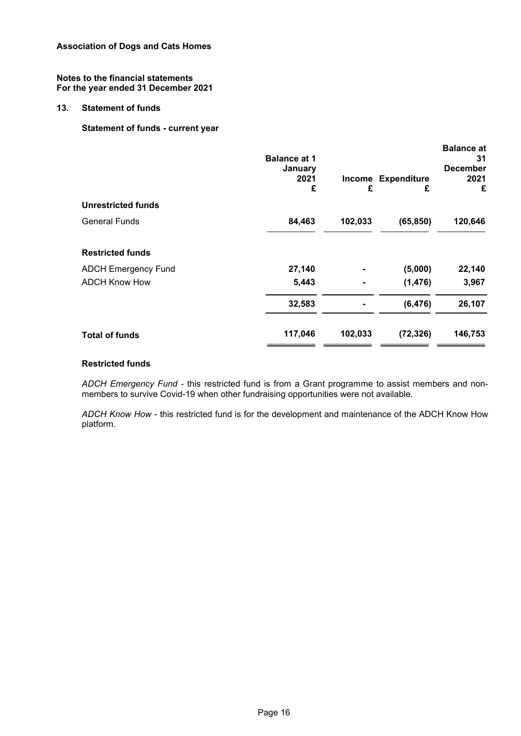#### **13. Statement of funds**

## **Statement of funds - current year**

| <b>Balance at 1</b><br>January<br>2021<br>£ | £       | <b>Expenditure</b><br>£ | <b>Balance at</b><br>31<br><b>December</b><br>2021<br>£ |
|---------------------------------------------|---------|-------------------------|---------------------------------------------------------|
|                                             |         |                         |                                                         |
| 84,463                                      | 102,033 | (65, 850)               | 120,646                                                 |
|                                             |         |                         |                                                         |
| 27,140                                      |         | (5,000)                 | 22,140                                                  |
| 5,443                                       |         | (1, 476)                | 3,967                                                   |
| 32,583                                      |         | (6, 476)                | 26,107                                                  |
| 117,046                                     | 102,033 | (72, 326)               | 146,753                                                 |
|                                             |         |                         | <b>Income</b>                                           |

#### **Restricted funds**

*ADCH Emergency Fund* - this restricted fund is from a Grant programme to assist members and nonmembers to survive Covid-19 when other fundraising opportunities were not available.

*ADCH Know How* - this restricted fund is for the development and maintenance of the ADCH Know How platform.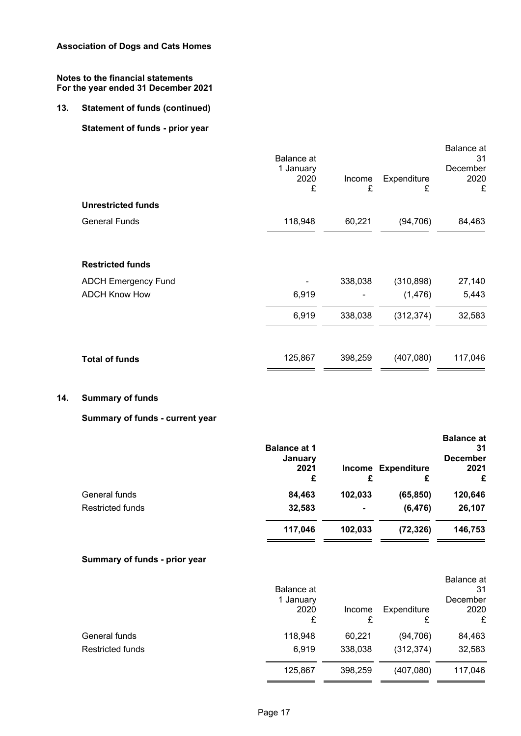## **13. Statement of funds (continued)**

## **Statement of funds - prior year**

|                            | <b>Balance</b> at<br>1 January<br>2020<br>£ | Income<br>£ | Expenditure<br>£ | Balance at<br>31<br>December<br>2020<br>£ |
|----------------------------|---------------------------------------------|-------------|------------------|-------------------------------------------|
| <b>Unrestricted funds</b>  |                                             |             |                  |                                           |
| <b>General Funds</b>       | 118,948                                     | 60,221      | (94, 706)        | 84,463                                    |
| <b>Restricted funds</b>    |                                             |             |                  |                                           |
| <b>ADCH Emergency Fund</b> |                                             | 338,038     | (310, 898)       | 27,140                                    |
| <b>ADCH Know How</b>       | 6,919                                       |             | (1, 476)         | 5,443                                     |
|                            | 6,919                                       | 338,038     | (312, 374)       | 32,583                                    |
| <b>Total of funds</b>      | 125,867                                     | 398,259     | (407,080)        | 117,046                                   |

## **14. Summary of funds**

## **Summary of funds - current year**

|                         | <b>Balance at 1</b><br>January<br>2021<br>£ | Income<br>£ | <b>Expenditure</b><br>£ | <b>Balance at</b><br>31<br><b>December</b><br>2021<br>£ |
|-------------------------|---------------------------------------------|-------------|-------------------------|---------------------------------------------------------|
| General funds           | 84,463                                      | 102,033     | (65, 850)               | 120,646                                                 |
| <b>Restricted funds</b> | 32,583                                      | ۰           | (6, 476)                | 26,107                                                  |
|                         | 117,046                                     | 102,033     | (72, 326)               | 146,753                                                 |

## **Summary of funds - prior year**

| Balance at<br>1 January<br>2020<br>£ | Income<br>£ | Expenditure | Balance at<br>31<br>December<br>2020<br>£ |
|--------------------------------------|-------------|-------------|-------------------------------------------|
| 118,948                              | 60,221      | (94, 706)   | 84,463                                    |
| 6,919                                | 338,038     | (312, 374)  | 32,583                                    |
| 125,867                              | 398,259     | (407,080)   | 117,046                                   |
|                                      |             |             |                                           |